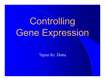# **Controlling** Gene Expression

Tapan Kr. Dutta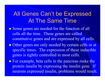## All Genes Can't be Expressed At The Same Time

- Some genes are needed for the function of all cells all the time. These genes are called constitutive genes and are expressed by all cells.
- Other genes are only needed by certain cells or at specific times. The expression of these inducible genes is tightly controlled in most cells.
- For example, beta cells in the pancreas make the protein insulin by expressing the insulin gene. If neurons expressed insulin, problems would result.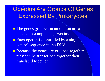Operons Are Groups Of Genes Expressed By Prokaryotes

- The genes grouped in an operon are all needed to complete a given task
- Each operon is controlled by a single control sequence in the DNA
- Because the genes are grouped together, they can be transcribed together then translated together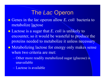#### The *Lac* Operon

 Genes in the *lac* operon allow *E. coli* bacteria to metabolize lactose

 Lactose is a sugar that *E. coli* is unlikely to encounter, so it would be wasteful to produce the proteins needed to metabolize it unless necessary

- Metabolizing lactose for energy only makes sense when two criteria are met:
	- Other more readily metabolized sugar (glucose) is unavailable
	- Lactose is available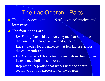### The *Lac* Operon - Parts

- The *lac* operon is made up of a control region and four genes
- The four genes are:
	- $-LacZ$   $\beta$ -galactosidase An enzyme that hydrolizes the bond between galactose and glucose
	- *LacY* Codes for a permease that lets lactose across the cell membrane
	- *LacA* Transacetylase An enzyme whose function in lactose metabolism is uncertain
	- Repressor A protien that works with the control region to control expression of the operon